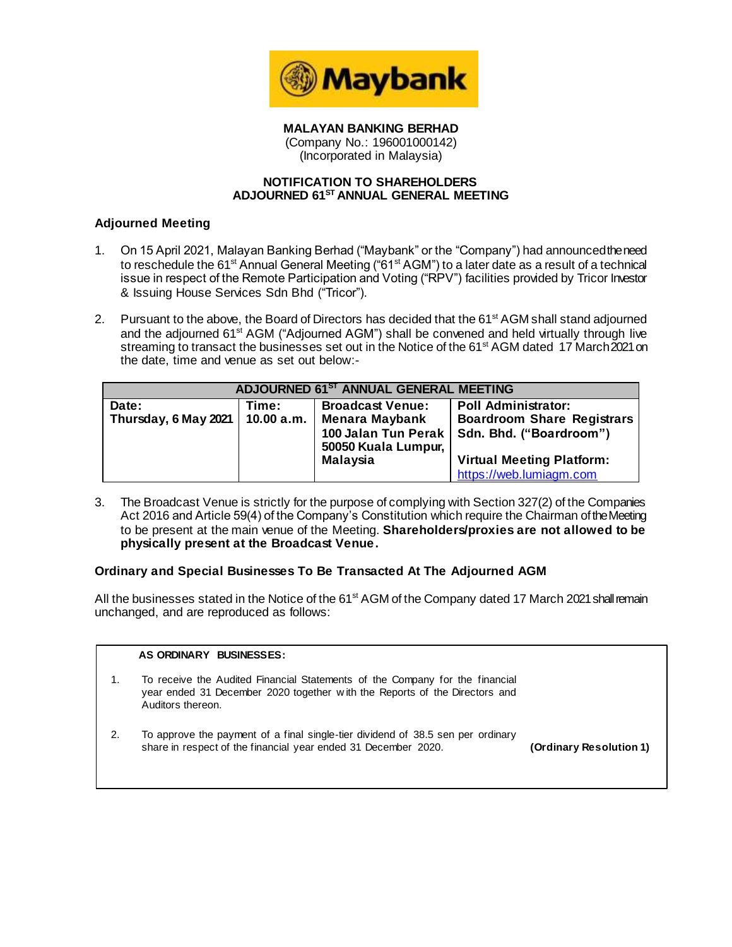

**MALAYAN BANKING BERHAD** (Company No.: 196001000142) (Incorporated in Malaysia)

### **NOTIFICATION TO SHAREHOLDERS ADJOURNED 61 ST ANNUAL GENERAL MEETING**

# **Adjourned Meeting**

- 1. On 15 April 2021, Malayan Banking Berhad ("Maybank" or the "Company") had announcedthe need to reschedule the 61<sup>st</sup> Annual General Meeting ("61<sup>st</sup> AGM") to a later date as a result of a technical issue in respect of the Remote Participation and Voting ("RPV") facilities provided by Tricor Investor & Issuing House Services Sdn Bhd ("Tricor").
- 2. Pursuant to the above, the Board of Directors has decided that the 61<sup>st</sup> AGM shall stand adjourned and the adjourned 61<sup>st</sup> AGM ("Adjourned AGM") shall be convened and held virtually through live streaming to transact the businesses set out in the Notice of the 61<sup>st</sup> AGM dated 17 March 2021 on the date, time and venue as set out below:-

| ADJOURNED 61ST ANNUAL GENERAL MEETING |            |                         |                                               |  |  |
|---------------------------------------|------------|-------------------------|-----------------------------------------------|--|--|
| Date:                                 | Time:      | <b>Broadcast Venue:</b> | <b>Poll Administrator:</b>                    |  |  |
| Thursday, 6 May 2021                  | 10.00 a.m. | <b>Menara Maybank</b>   | <b>Boardroom Share Registrars</b>             |  |  |
|                                       |            | 50050 Kuala Lumpur,     | 100 Jalan Tun Perak   Sdn. Bhd. ("Boardroom") |  |  |
|                                       |            | <b>Malaysia</b>         | <b>Virtual Meeting Platform:</b>              |  |  |
|                                       |            |                         | https://web.lumiagm.com                       |  |  |

3. The Broadcast Venue is strictly for the purpose of complying with Section 327(2) of the Companies Act 2016 and Article 59(4) of the Company's Constitution which require the Chairman of the Meeting to be present at the main venue of the Meeting. **Shareholders/proxies are not allowed to be physically present at the Broadcast Venue.**

# **Ordinary and Special Businesses To Be Transacted At The Adjourned AGM**

All the businesses stated in the Notice of the 61<sup>st</sup> AGM of the Company dated 17 March 2021 shall remain unchanged, and are reproduced as follows:

|    | AS ORDINARY BUSINESSES:                                                                                                                                                         |                         |
|----|---------------------------------------------------------------------------------------------------------------------------------------------------------------------------------|-------------------------|
|    | To receive the Audited Financial Statements of the Company for the financial<br>year ended 31 December 2020 together with the Reports of the Directors and<br>Auditors thereon. |                         |
| 2. | To approve the payment of a final single-tier dividend of 38.5 sen per ordinary<br>share in respect of the financial year ended 31 December 2020.                               | (Ordinary Resolution 1) |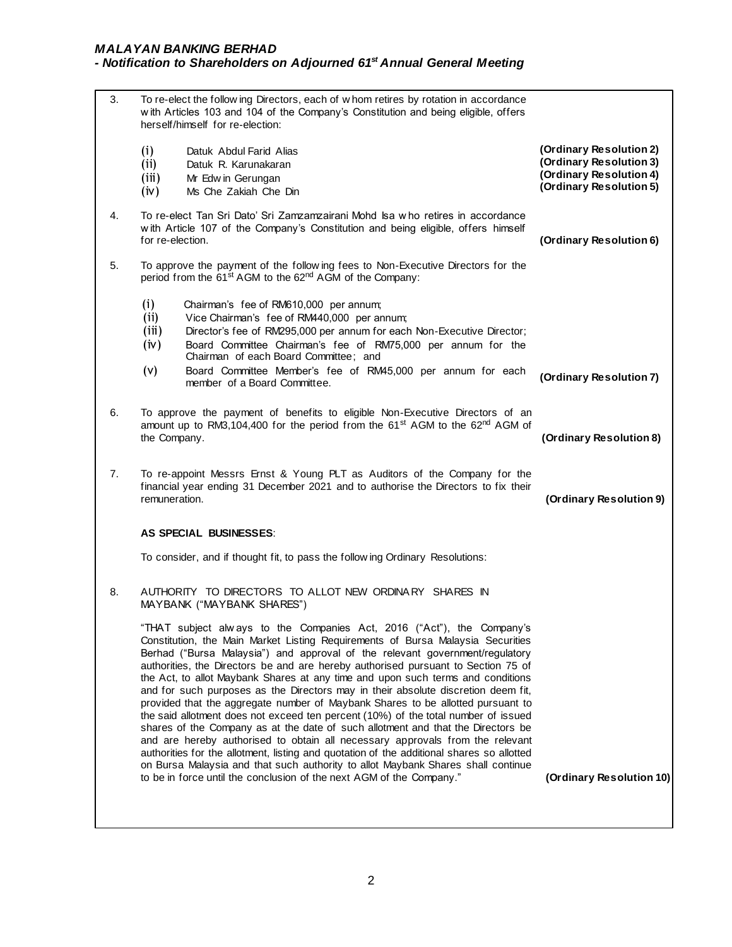|                                                                                                                                                                                                                   | To re-elect the following Directors, each of whom retires by rotation in accordance<br>with Articles 103 and 104 of the Company's Constitution and being eligible, offers<br>herself/himself for re-election:                                                                                                                           |                                                                                                                                                                                                                                                                                                                                                                                                                                                                                                                                                                                                                                                                                                                                                                                                                                                                                                                                                                                                                                                                                                                                                                                                                                                                                                                                                                                                                                                                                                                                                                                                                                                                    |  |
|-------------------------------------------------------------------------------------------------------------------------------------------------------------------------------------------------------------------|-----------------------------------------------------------------------------------------------------------------------------------------------------------------------------------------------------------------------------------------------------------------------------------------------------------------------------------------|--------------------------------------------------------------------------------------------------------------------------------------------------------------------------------------------------------------------------------------------------------------------------------------------------------------------------------------------------------------------------------------------------------------------------------------------------------------------------------------------------------------------------------------------------------------------------------------------------------------------------------------------------------------------------------------------------------------------------------------------------------------------------------------------------------------------------------------------------------------------------------------------------------------------------------------------------------------------------------------------------------------------------------------------------------------------------------------------------------------------------------------------------------------------------------------------------------------------------------------------------------------------------------------------------------------------------------------------------------------------------------------------------------------------------------------------------------------------------------------------------------------------------------------------------------------------------------------------------------------------------------------------------------------------|--|
| (i)<br>(i)<br>(iii)<br>(iv)                                                                                                                                                                                       | Datuk Abdul Farid Alias<br>Datuk R. Karunakaran<br>Mr Edw in Gerungan<br>Ms Che Zakiah Che Din                                                                                                                                                                                                                                          | (Ordinary Resolution 2)<br>(Ordinary Resolution 3)<br>(Ordinary Resolution 4)<br>(Ordinary Resolution 5)                                                                                                                                                                                                                                                                                                                                                                                                                                                                                                                                                                                                                                                                                                                                                                                                                                                                                                                                                                                                                                                                                                                                                                                                                                                                                                                                                                                                                                                                                                                                                           |  |
|                                                                                                                                                                                                                   |                                                                                                                                                                                                                                                                                                                                         | (Ordinary Resolution 6)                                                                                                                                                                                                                                                                                                                                                                                                                                                                                                                                                                                                                                                                                                                                                                                                                                                                                                                                                                                                                                                                                                                                                                                                                                                                                                                                                                                                                                                                                                                                                                                                                                            |  |
|                                                                                                                                                                                                                   |                                                                                                                                                                                                                                                                                                                                         |                                                                                                                                                                                                                                                                                                                                                                                                                                                                                                                                                                                                                                                                                                                                                                                                                                                                                                                                                                                                                                                                                                                                                                                                                                                                                                                                                                                                                                                                                                                                                                                                                                                                    |  |
| (i)<br>(i)<br>(iii)<br>(iv)<br>(v)                                                                                                                                                                                | Chairman's fee of RM610,000 per annum;<br>Vice Chairman's fee of RM440,000 per annum;<br>Director's fee of RM295,000 per annum for each Non-Executive Director;<br>Board Committee Chairman's fee of RM75,000 per annum for the<br>Chairman of each Board Committee; and<br>Board Committee Member's fee of RM45,000 per annum for each | (Ordinary Resolution 7)                                                                                                                                                                                                                                                                                                                                                                                                                                                                                                                                                                                                                                                                                                                                                                                                                                                                                                                                                                                                                                                                                                                                                                                                                                                                                                                                                                                                                                                                                                                                                                                                                                            |  |
|                                                                                                                                                                                                                   |                                                                                                                                                                                                                                                                                                                                         |                                                                                                                                                                                                                                                                                                                                                                                                                                                                                                                                                                                                                                                                                                                                                                                                                                                                                                                                                                                                                                                                                                                                                                                                                                                                                                                                                                                                                                                                                                                                                                                                                                                                    |  |
|                                                                                                                                                                                                                   | (Ordinary Resolution 8)                                                                                                                                                                                                                                                                                                                 |                                                                                                                                                                                                                                                                                                                                                                                                                                                                                                                                                                                                                                                                                                                                                                                                                                                                                                                                                                                                                                                                                                                                                                                                                                                                                                                                                                                                                                                                                                                                                                                                                                                                    |  |
| 7.<br>To re-appoint Messrs Ernst & Young PLT as Auditors of the Company for the<br>financial year ending 31 December 2021 and to authorise the Directors to fix their<br>remuneration.<br>(Ordinary Resolution 9) |                                                                                                                                                                                                                                                                                                                                         |                                                                                                                                                                                                                                                                                                                                                                                                                                                                                                                                                                                                                                                                                                                                                                                                                                                                                                                                                                                                                                                                                                                                                                                                                                                                                                                                                                                                                                                                                                                                                                                                                                                                    |  |
|                                                                                                                                                                                                                   |                                                                                                                                                                                                                                                                                                                                         |                                                                                                                                                                                                                                                                                                                                                                                                                                                                                                                                                                                                                                                                                                                                                                                                                                                                                                                                                                                                                                                                                                                                                                                                                                                                                                                                                                                                                                                                                                                                                                                                                                                                    |  |
|                                                                                                                                                                                                                   |                                                                                                                                                                                                                                                                                                                                         |                                                                                                                                                                                                                                                                                                                                                                                                                                                                                                                                                                                                                                                                                                                                                                                                                                                                                                                                                                                                                                                                                                                                                                                                                                                                                                                                                                                                                                                                                                                                                                                                                                                                    |  |
|                                                                                                                                                                                                                   |                                                                                                                                                                                                                                                                                                                                         |                                                                                                                                                                                                                                                                                                                                                                                                                                                                                                                                                                                                                                                                                                                                                                                                                                                                                                                                                                                                                                                                                                                                                                                                                                                                                                                                                                                                                                                                                                                                                                                                                                                                    |  |
|                                                                                                                                                                                                                   | authorities for the allotment, listing and quotation of the additional shares so allotted<br>on Bursa Malaysia and that such authority to allot Maybank Shares shall continue                                                                                                                                                           |                                                                                                                                                                                                                                                                                                                                                                                                                                                                                                                                                                                                                                                                                                                                                                                                                                                                                                                                                                                                                                                                                                                                                                                                                                                                                                                                                                                                                                                                                                                                                                                                                                                                    |  |
|                                                                                                                                                                                                                   |                                                                                                                                                                                                                                                                                                                                         | To re-elect Tan Sri Dato' Sri Zamzamzairani Mohd Isa who retires in accordance<br>with Article 107 of the Company's Constitution and being eligible, offers himself<br>for re-election.<br>To approve the payment of the following fees to Non-Executive Directors for the<br>period from the 61 <sup>st</sup> AGM to the 62 <sup>nd</sup> AGM of the Company:<br>member of a Board Committee.<br>To approve the payment of benefits to eligible Non-Executive Directors of an<br>amount up to RM3,104,400 for the period from the 61 <sup>st</sup> AGM to the 62 <sup>nd</sup> AGM of<br>the Company.<br>AS SPECIAL BUSINESSES:<br>To consider, and if thought fit, to pass the follow ing Ordinary Resolutions:<br>AUTHORITY TO DIRECTORS TO ALLOT NEW ORDINARY SHARES IN<br>MAYBANK ("MAYBANK SHARES")<br>"THAT subject alw ays to the Companies Act, 2016 ("Act"), the Company's<br>Constitution, the Main Market Listing Requirements of Bursa Malaysia Securities<br>Berhad ("Bursa Malaysia") and approval of the relevant government/regulatory<br>authorities, the Directors be and are hereby authorised pursuant to Section 75 of<br>the Act, to allot Maybank Shares at any time and upon such terms and conditions<br>and for such purposes as the Directors may in their absolute discretion deem fit,<br>provided that the aggregate number of Maybank Shares to be allotted pursuant to<br>the said allotment does not exceed ten percent (10%) of the total number of issued<br>shares of the Company as at the date of such allotment and that the Directors be<br>and are hereby authorised to obtain all necessary approvals from the relevant |  |